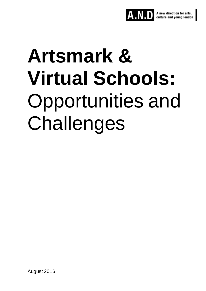

# **Artsmark & Virtual Schools:** Opportunities and Challenges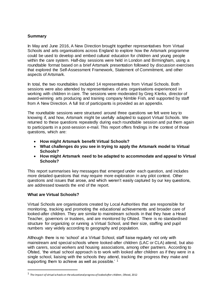#### **Summary**

In May and June 2016, A New Direction brought together representatives from Virtual Schools and arts organisations across England to explore how the Artsmark programme could be used to develop and embed cultural education for children and young people within the care system. Half-day sessions were held in London and Birmingham, using a roundtable format based on a brief Artsmark presentation followed by discussion exercises that explored the Self-Assessment Framework, Statement of Commitment, and other aspects of Artsmark.

In total, the two roundtables included 14 representatives from Virtual Schools. Both sessions were also attended by representatives of arts organisations experienced in working with children in care. The sessions were moderated by Greg Klerkx, director of award-winning arts producing and training company Nimble Fish, and supported by staff from A New Direction. A full list of participants is provided as an appendix.

The roundtable sessions were structured around three questions we felt were key to knowing if, and how, Artsmark might be usefully adapted to support Virtual Schools. We returned to these questions repeatedly during each roundtable session and put them again to participants in a post-session e-mail. This report offers findings in the context of those questions, which are:

- **How might Artsmark benefit Virtual Schools?**
- **What challenges do you see in trying to apply the Artsmark model to Virtual Schools?**
- **How might Artsmark need to be adapted to accommodate and appeal to Virtual Schools?**

This report summarises key messages that emerged under each question, and includes more detailed questions that may require more exploration in any pilot context. Other questions and issues that arose, and which weren't easily captured by our key questions, are addressed towards the end of the report.

#### **What are Virtual Schools?**

 $\overline{a}$ 

Virtual Schools are organisations created by Local Authorities that are responsible for monitoring, tracking and promoting the educational achievements and broader care of looked-after children. They are similar to mainstream schools in that they have a Head Teacher, governors or trustees, and are monitored by Ofsted. There is no standardised structure for organizing or running a Virtual School, and their size, staffing and pupil numbers vary widely according to geography and population.

Although there is no 'school' at a Virtual School, staff liaise regularly not only with mainstream and special schools where looked-after children (LAC or CLA) attend, but also with carers, social workers and housing associations, among other partners. According to Ofsted, 'the virtual school approach is to work with looked after children as if they were in a single school, liaising with the schools they attend, tracking the progress they make and supporting them to achieve as well as possible.<sup>' 1</sup>

<sup>1</sup> *The impact of virtual schools on the educational progress of looked after children*, Ofsted, 2012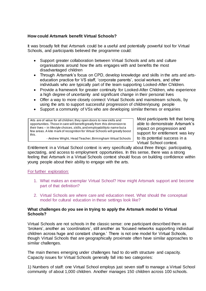#### **How could Artsmark benefit Virtual Schools?**

It was broadly felt that Artsmark could be a useful and potentially powerful tool for Virtual Schools, and participants believed the programme could:

- Support greater collaboration between Virtual Schools and arts and culture organisations around how the arts engages with and benefits the most disadvantaged children
- Through Artsmark's focus on CPD, develop knowledge and skills in the arts and artseducation practice for VS staff, 'corporate parents', social workers, and other individuals who are typically part of the team supporting Looked-After Children.
- Provide a framework for greater continuity for Looked-After Children, who experience a high degree of uncertainty and significant change in their personal lives
- Offer a way to more closely connect Virtual Schools and mainstream schools, by using the arts to support successful progression of children/young people
- Support a community of VSs who are developing similar themes or enquiries

Arts are of value for all children; they open doors to new skills and opportunities. Those in care will benefit greatly from this dimension to their lives – in lifestyle choices, skills, and employability to name but a few areas. A kite mark of recognition for Virtual Schools will greatly boost this. - Andrew Wright, Head Teacher, Birmingham Virtual Schools

able to demonstrate Artsmark's impact on progression and support for entitlement was key to its potential success in a Virtual School context.

Most participants felt that being

Entitlement in a Virtual School context is very specifically about three things: participating, spectating, and access to employment opportunities. In this sense, there was a strong feeling that Artsmark in a Virtual Schools context should focus on building confidence within young people about their ability to engage with the arts.

#### For further exploration:

- 1. What makes an exemplar Virtual School? How might Artsmark support and become part of that definition?
- 2. Virtual Schools are where care and education meet. What should the conceptual model for cultural education in these settings look like?

#### **What challenges do you see in trying to apply the Artsmark model to Virtual Schools?**

Virtual Schools are not schools in the classic sense: one participant described them as 'brokers', another as 'coordinators', still another as 'focused networks supporting individual children across huge and constant change.' There is not one model for Virtual Schools, though Virtual Schools that are geographically proximate often have similar approaches to similar challenges.

The main themes emerging under challenges had to do with structure and capacity. Capacity issues for Virtual Schools generally fall into two categories:

1) Numbers of staff: one Virtual School employs just seven staff to manage a Virtual School community of about 1,000 children. Another manages 150 children across 100 schools.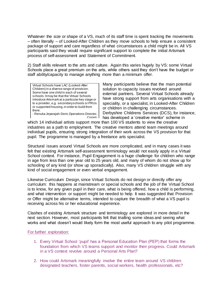Whatever the size or shape of a VS, much of its staff time is spent tracking the movements – often literally – of Looked-After Children as they move schools to help ensure a consistent package of support and care regardless of what circumstances a child might be in. All VS participants said they would require significant support to complete the initial Artsmark process of self-assessment and Statement of Commitment.

2) Staff skills relevant to the arts and culture. Again this varies hugely by VS: some Virtual Schools place a great premium on the arts, while others said they don't have the budget or staff ability/capacity to manage anything more than a minimum offer.

Virtual Schools have LAC (Looked-After Children) in a diverse range of provision. Some have one child in each of several schools. It may be that the Virtual Schools introduce Artsmark at a particular key stage or to a provider, e,g. secondary schools or PRUs or supported housing, in order to build from there.

- Renuka Jeyarajah-Dent, Operations Director, Coram<sub>I</sub> Many participants believe that the main potential solution to capacity issues revolved around external partners. Several Virtual Schools already have strong support from arts organisations with a speciality, or a specialist, in Looked-After Children or children in challenging circumstances. Derbyshire Childrens Services (DCS), for instance, has developed a 'creative mentor' scheme in

which 14 individual artists support more than 100 VS students to view the creative industries as a path to employment. The creative mentors attend team meetings around individual pupils, ensuring strong integration of their work across the VS provision for that pupil. The programme is managed by a freelance arts specialist.

Structural issues around Virtual Schools are more complicated, and in many cases it was felt that existing Artsmark self-assessment terminology would not easily apply in a Virtual School context. For instance, Pupil Engagement is a huge challenge for children who range in age from less than one year old to 25 years old, and many of whom do not show up for schooling of any kind (or show up sporadically). Also, many VS children struggle with any kind of social engagement or even verbal engagement.

Likewise Curriculum Design, since Virtual Schools do not design or directly offer any curriculum: this happens at mainstream or special schools and the job of the Virtual School is to know, for any given pupil in their care, what is being offered, how a child is performing, and what intervention or support might be needed to help. It was suggested that Provision or Offer might be alternative terms, intended to capture the breadth of what a VS pupil is receiving across his or her educational experience.

Clashes of existing Artsmark structure and terminology are explored in more detail in the next section. However, most participants felt that trialling some ideas and seeing what works and what doesn't would likely form the most useful approach to any pilot programme.

#### For further exploration:

- 1. Every Virtual School 'pupil' has a Personal Education Plan (PEP) that forms the foundation from which VS teams support and monitor their progress. Could Artsmark in a VS context revolve around a Personal Arts Plan?
- 2. How could Artsmark meaningfully involve the entire team around VS children: designated teachers, foster parents, social workers, health professionals, etc?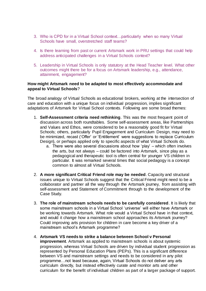- 3. Who is CPD for in a Virtual School context…particularly when so many Virtual Schools have small, overstretched staff teams?
- 4. Is there learning from past or current Artsmark work in PRU settings that could help address anticipated challenges in a Virtual Schools context?
- 5. Leadership in Virtual Schools is only statutory at the Head Teacher level. What other outcomes might there be for a focus on Artsmark leadership, e.g., attendance, attainment, engagement?

#### **How might Artsmark need to be adapted to most effectively accommodate and appeal to Virtual Schools**?

The broad analogy of Virtual Schools as educational brokers, working at the intersection of care and education with a unique focus on individual progression, implies significant adaptations of Artsmark for Virtual School contexts. Following are some broad themes:

- 1. **Self-Assessment criteria need rethinking**. This was the most frequent point of discussion across both roundtables. Some self-assessment areas, like Partnerships and Values and Ethos, were considered to be a reasonably good fit for Virtual Schools; others, particularly Pupil Engagement and Curriculum Design, may need to be minimized, recast ('Offer' or 'Entitlement' were suggestions to replace Curriculum Design), or perhaps applied only to specific aspects of what Virtual Schools do.
	- a. There were also several discussions about how 'play' which often involves the arts, but not always – could be factored into Artsmark, since play as a pedagogical and therapeutic tool is often central for younger VS children in particular. It was remarked several times that social pedagogy is a concept common to almost all Virtual Schools.
- 2. **A more significant Critical Friend role may be needed**. Capacity and structural issues unique to Virtual Schools suggest that the Critical Friend might need to be a collaborator and partner all the way through the Artsmark journey, from assisting with self-assessment and Statement of Commitment through to the development of the Case Study.
- 3. **The role of mainstream schools needs to be carefully considered**. It is likely that some mainstream schools in a Virtual School 'universe' will either have Artsmark or be working towards Artsmark. What role would a Virtual School have in that context, and would it change how a mainstream school approaches its Artsmark journey? Could improving arts provision for children in care become a key driver of a mainstream school's Artsmark programme?
- 4. **Artsmark VS needs to strike a balance between School v Personal improvement**. Artsmark as applied to mainstream schools is about systemic progression, whereas Virtual Schools are driven by individual student progression as represented by Personal Education Plans (PEPs). This is a significant difference between VS and mainstream settings and needs to be considered in any pilot programme…not least because, again, Virtual Schools do not deliver any arts curriculum directly, but instead effectively curate and monitor arts and other curriculum for the benefit of individual children as part of a larger package of support.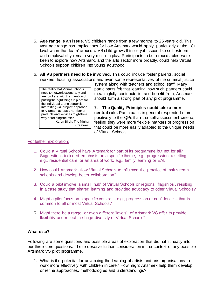- 5. **Age range is an issue**. VS children range from a few months to 25 years old. This vast age range has implications for how Artsmark would apply, particularly at the 18+ level when the 'team' around a VS child grows thinner yet issues like self-esteem and employability remain very much in play. Participants in both roundtables were keen to explore how Artsmark, and the arts sector more broadly, could help Virtual Schools support children into young adulthood.
- 6. **All VS partners need to be involved**. This could include foster parents, social workers, housing associations and even some representatives of the criminal justice

The reality that Virtual Schools need to network extensively and are 'brokers' with the intention of putting the right things in place for the individual young person is interesting – a 'project' approach to Artsmark across a number of products and services might be a way of refining the offer. - Karen Birch, The Mighty **Creatives** 

system along with teachers and school staff. Many participants felt that learning how such partners could meaningfully contribute to, and benefit from, Artsmark should form a strong part of any pilot programme.

7. **The Quality Principles could take a more central role.** Participants in general responded more positively to the QPs than the self-assessment criteria, feeling they were more flexible markers of progression that could be more easily adapted to the unique needs of Virtual Schools.

#### For further exploration:

- 1. Could a Virtual School have Artsmark for part of its programme but not for all? Suggestions included emphasis on a specific theme, e.g., progression; a setting, e.g., residential care; or an area of work, e.g., family learning or EAL.
- 2. How could Artsmark allow Virtual Schools to influence the practice of mainstream schools and develop better collaboration?
- 3. Could a pilot involve a small 'hub' of Virtual Schools or regional 'flagships', resulting in a case study that shared learning and provided advocacy to other Virtual Schools?
- 4. Might a pilot focus on a specific context e.g., progression or confidence that is common to all or most Virtual Schools?
- 5. Might there be a range, or even different 'levels', of Artsmark VS offer to provide flexibility and reflect the huge diversity of Virtual Schools?

#### **What else?**

Following are some questions and possible areas of exploration that did not fit neatly into our three core questions. These deserve further consideration in the context of any possible Artsmark VS pilot programme.

1. What is the potential for advancing the learning of artists and arts organisations to work more effectively with children in care? How might Artsmark help them develop or refine approaches, methodologies and understandings?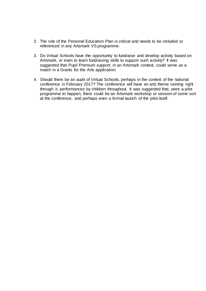- 2. The role of the Personal Education Plan is critical and needs to be included or referenced in any Artsmark VS programme.
- 3. Do Virtual Schools have the opportunity to fundraise and develop activity based on Artsmark, or even to learn fundraising skills to support such activity? It was suggested that Pupil Premium support, in an Artsmark context, could serve as a match in a Grants for the Arts application.
- 4. Should there be an audit of Virtual Schools, perhaps in the context of the national conference in February 2017? The conference will have an arts theme running right through it, performances by children throughout. It was suggested that, were a pilot programme to happen, there could be an Artsmark workshop or session of some sort at the conference, and perhaps even a formal launch of the pilot itself.